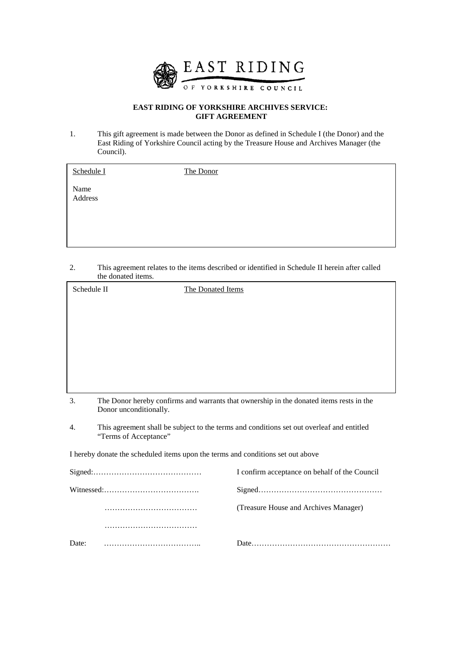

### **EAST RIDING OF YORKSHIRE ARCHIVES SERVICE: GIFT AGREEMENT**

1. This gift agreement is made between the Donor as defined in Schedule I (the Donor) and the East Riding of Yorkshire Council acting by the Treasure House and Archives Manager (the Council).

| Schedule I      | The Donor |
|-----------------|-----------|
| Name<br>Address |           |
|                 |           |

2. This agreement relates to the items described or identified in Schedule II herein after called the donated items.

| Schedule II                                                                     |                                                                                                                    | The Donated Items                                                                       |
|---------------------------------------------------------------------------------|--------------------------------------------------------------------------------------------------------------------|-----------------------------------------------------------------------------------------|
|                                                                                 |                                                                                                                    |                                                                                         |
|                                                                                 |                                                                                                                    |                                                                                         |
|                                                                                 |                                                                                                                    |                                                                                         |
|                                                                                 |                                                                                                                    |                                                                                         |
|                                                                                 |                                                                                                                    |                                                                                         |
|                                                                                 |                                                                                                                    |                                                                                         |
| 3.                                                                              | Donor unconditionally.                                                                                             | The Donor hereby confirms and warrants that ownership in the donated items rests in the |
| 4.                                                                              | This agreement shall be subject to the terms and conditions set out overleaf and entitled<br>"Terms of Acceptance" |                                                                                         |
| I hereby donate the scheduled items upon the terms and conditions set out above |                                                                                                                    |                                                                                         |
|                                                                                 | $Sigma: \ldots \ldots \ldots \ldots \ldots \ldots \ldots \ldots \ldots \ldots \ldots \ldots$                       | I confirm acceptance on behalf of the Council                                           |
|                                                                                 |                                                                                                                    |                                                                                         |
|                                                                                 |                                                                                                                    | (Treasure House and Archives Manager)                                                   |
|                                                                                 |                                                                                                                    |                                                                                         |
| Date:                                                                           |                                                                                                                    |                                                                                         |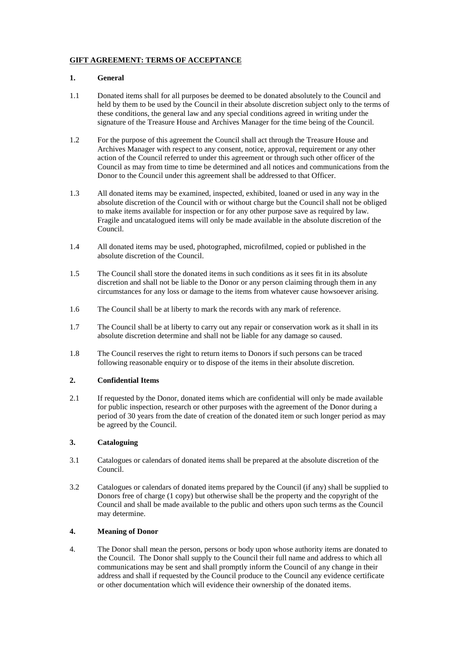## **GIFT AGREEMENT: TERMS OF ACCEPTANCE**

#### **1. General**

- 1.1 Donated items shall for all purposes be deemed to be donated absolutely to the Council and held by them to be used by the Council in their absolute discretion subject only to the terms of these conditions, the general law and any special conditions agreed in writing under the signature of the Treasure House and Archives Manager for the time being of the Council.
- 1.2 For the purpose of this agreement the Council shall act through the Treasure House and Archives Manager with respect to any consent, notice, approval, requirement or any other action of the Council referred to under this agreement or through such other officer of the Council as may from time to time be determined and all notices and communications from the Donor to the Council under this agreement shall be addressed to that Officer.
- 1.3 All donated items may be examined, inspected, exhibited, loaned or used in any way in the absolute discretion of the Council with or without charge but the Council shall not be obliged to make items available for inspection or for any other purpose save as required by law. Fragile and uncatalogued items will only be made available in the absolute discretion of the Council.
- 1.4 All donated items may be used, photographed, microfilmed, copied or published in the absolute discretion of the Council.
- 1.5 The Council shall store the donated items in such conditions as it sees fit in its absolute discretion and shall not be liable to the Donor or any person claiming through them in any circumstances for any loss or damage to the items from whatever cause howsoever arising.
- 1.6 The Council shall be at liberty to mark the records with any mark of reference.
- 1.7 The Council shall be at liberty to carry out any repair or conservation work as it shall in its absolute discretion determine and shall not be liable for any damage so caused.
- 1.8 The Council reserves the right to return items to Donors if such persons can be traced following reasonable enquiry or to dispose of the items in their absolute discretion.

#### **2. Confidential Items**

2.1 If requested by the Donor, donated items which are confidential will only be made available for public inspection, research or other purposes with the agreement of the Donor during a period of 30 years from the date of creation of the donated item or such longer period as may be agreed by the Council.

#### **3. Cataloguing**

- 3.1 Catalogues or calendars of donated items shall be prepared at the absolute discretion of the Council.
- 3.2 Catalogues or calendars of donated items prepared by the Council (if any) shall be supplied to Donors free of charge (1 copy) but otherwise shall be the property and the copyright of the Council and shall be made available to the public and others upon such terms as the Council may determine.

#### **4. Meaning of Donor**

4. The Donor shall mean the person, persons or body upon whose authority items are donated to the Council. The Donor shall supply to the Council their full name and address to which all communications may be sent and shall promptly inform the Council of any change in their address and shall if requested by the Council produce to the Council any evidence certificate or other documentation which will evidence their ownership of the donated items.